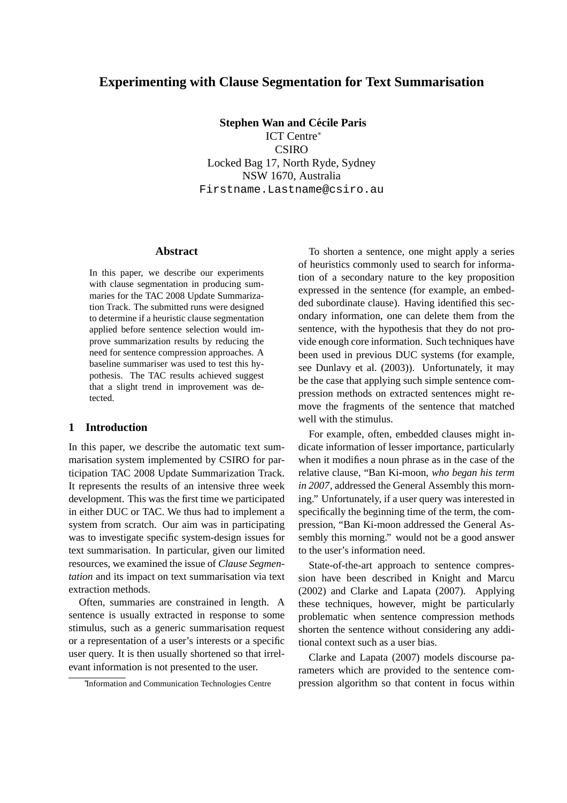# **Experimenting with Clause Segmentation for Text Summarisation**

**Stephen Wan and Cécile Paris** ICT Centre<sup>∗</sup> CSIRO Locked Bag 17, North Ryde, Sydney NSW 1670, Australia Firstname.Lastname@csiro.au

#### **Abstract**

In this paper, we describe our experiments with clause segmentation in producing summaries for the TAC 2008 Update Summarization Track. The submitted runs were designed to determine if a heuristic clause segmentation applied before sentence selection would improve summarization results by reducing the need for sentence compression approaches. A baseline summariser was used to test this hypothesis. The TAC results achieved suggest that a slight trend in improvement was detected.

#### **1 Introduction**

In this paper, we describe the automatic text summarisation system implemented by CSIRO for participation TAC 2008 Update Summarization Track. It represents the results of an intensive three week development. This was the first time we participated in either DUC or TAC. We thus had to implement a system from scratch. Our aim was in participating was to investigate specific system-design issues for text summarisation. In particular, given our limited resources, we examined the issue of *Clause Segmentation* and its impact on text summarisation via text extraction methods.

Often, summaries are constrained in length. A sentence is usually extracted in response to some stimulus, such as a generic summarisation request or a representation of a user's interests or a specific user query. It is then usually shortened so that irrelevant information is not presented to the user.

To shorten a sentence, one might apply a series of heuristics commonly used to search for information of a secondary nature to the key proposition expressed in the sentence (for example, an embedded subordinate clause). Having identified this secondary information, one can delete them from the sentence, with the hypothesis that they do not provide enough core information. Such techniques have been used in previous DUC systems (for example, see Dunlavy et al. (2003)). Unfortunately, it may be the case that applying such simple sentence compression methods on extracted sentences might remove the fragments of the sentence that matched well with the stimulus.

For example, often, embedded clauses might indicate information of lesser importance, particularly when it modifies a noun phrase as in the case of the relative clause, "Ban Ki-moon, *who began his term in 2007*, addressed the General Assembly this morning." Unfortunately, if a user query was interested in specifically the beginning time of the term, the compression, "Ban Ki-moon addressed the General Assembly this morning." would not be a good answer to the user's information need.

State-of-the-art approach to sentence compression have been described in Knight and Marcu (2002) and Clarke and Lapata (2007). Applying these techniques, however, might be particularly problematic when sentence compression methods shorten the sentence without considering any additional context such as a user bias.

Clarke and Lapata (2007) models discourse parameters which are provided to the sentence compression algorithm so that content in focus within

<sup>∗</sup> Information and Communication Technologies Centre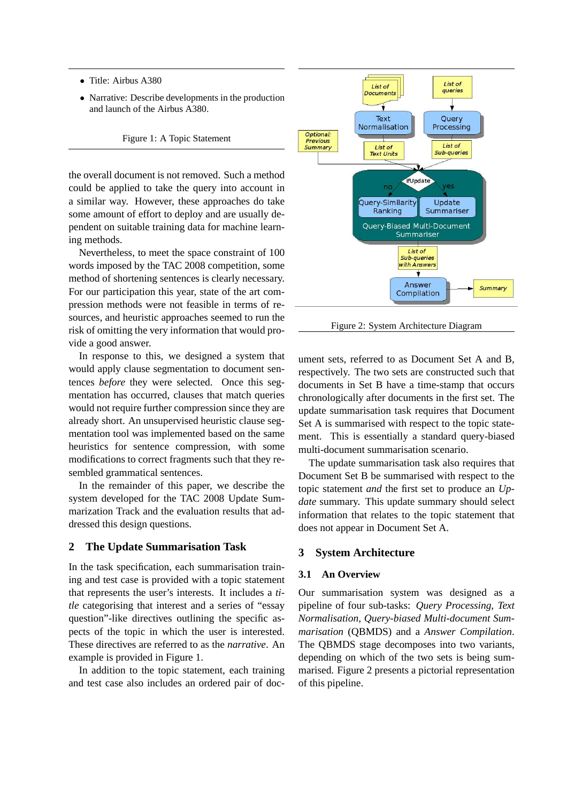- Title: Airbus A380
- Narrative: Describe developments in the production and launch of the Airbus A380.

Figure 1: A Topic Statement

the overall document is not removed. Such a method could be applied to take the query into account in a similar way. However, these approaches do take some amount of effort to deploy and are usually dependent on suitable training data for machine learning methods.

Nevertheless, to meet the space constraint of 100 words imposed by the TAC 2008 competition, some method of shortening sentences is clearly necessary. For our participation this year, state of the art compression methods were not feasible in terms of resources, and heuristic approaches seemed to run the risk of omitting the very information that would provide a good answer.

In response to this, we designed a system that would apply clause segmentation to document sentences *before* they were selected. Once this segmentation has occurred, clauses that match queries would not require further compression since they are already short. An unsupervised heuristic clause segmentation tool was implemented based on the same heuristics for sentence compression, with some modifications to correct fragments such that they resembled grammatical sentences.

In the remainder of this paper, we describe the system developed for the TAC 2008 Update Summarization Track and the evaluation results that addressed this design questions.

## **2 The Update Summarisation Task**

In the task specification, each summarisation training and test case is provided with a topic statement that represents the user's interests. It includes a *title* categorising that interest and a series of "essay question"-like directives outlining the specific aspects of the topic in which the user is interested. These directives are referred to as the *narrative*. An example is provided in Figure 1.

In addition to the topic statement, each training and test case also includes an ordered pair of doc-



Figure 2: System Architecture Diagram

ument sets, referred to as Document Set A and B, respectively. The two sets are constructed such that documents in Set B have a time-stamp that occurs chronologically after documents in the first set. The update summarisation task requires that Document Set A is summarised with respect to the topic statement. This is essentially a standard query-biased multi-document summarisation scenario.

The update summarisation task also requires that Document Set B be summarised with respect to the topic statement *and* the first set to produce an *Update* summary. This update summary should select information that relates to the topic statement that does not appear in Document Set A.

## **3 System Architecture**

### **3.1 An Overview**

Our summarisation system was designed as a pipeline of four sub-tasks: *Query Processing*, *Text Normalisation*, *Query-biased Multi-document Summarisation* (QBMDS) and a *Answer Compilation*. The QBMDS stage decomposes into two variants, depending on which of the two sets is being summarised. Figure 2 presents a pictorial representation of this pipeline.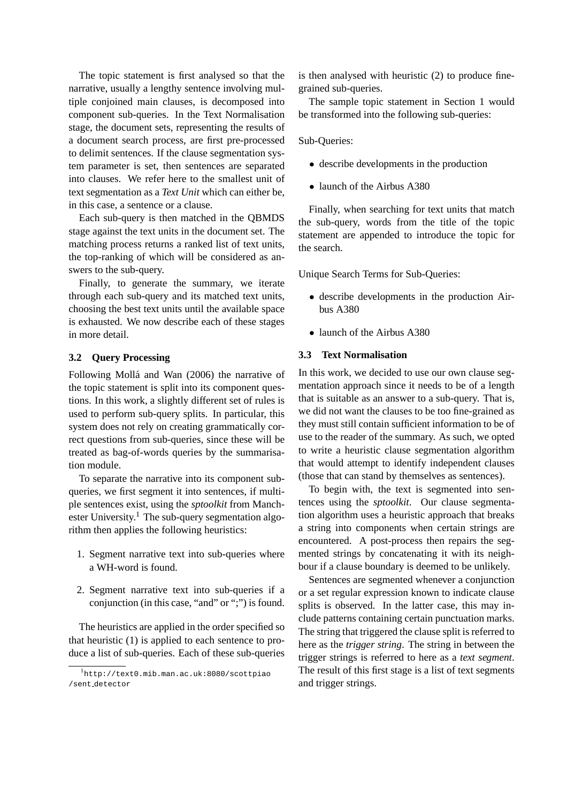The topic statement is first analysed so that the narrative, usually a lengthy sentence involving multiple conjoined main clauses, is decomposed into component sub-queries. In the Text Normalisation stage, the document sets, representing the results of a document search process, are first pre-processed to delimit sentences. If the clause segmentation system parameter is set, then sentences are separated into clauses. We refer here to the smallest unit of text segmentation as a *Text Unit* which can either be, in this case, a sentence or a clause.

Each sub-query is then matched in the QBMDS stage against the text units in the document set. The matching process returns a ranked list of text units, the top-ranking of which will be considered as answers to the sub-query.

Finally, to generate the summary, we iterate through each sub-query and its matched text units, choosing the best text units until the available space is exhausted. We now describe each of these stages in more detail.

## **3.2 Query Processing**

Following Mollá and Wan (2006) the narrative of the topic statement is split into its component questions. In this work, a slightly different set of rules is used to perform sub-query splits. In particular, this system does not rely on creating grammatically correct questions from sub-queries, since these will be treated as bag-of-words queries by the summarisation module.

To separate the narrative into its component subqueries, we first segment it into sentences, if multiple sentences exist, using the *sptoolkit* from Manchester University.<sup>1</sup> The sub-query segmentation algorithm then applies the following heuristics:

- 1. Segment narrative text into sub-queries where a WH-word is found.
- 2. Segment narrative text into sub-queries if a conjunction (in this case, "and" or ";") is found.

The heuristics are applied in the order specified so that heuristic (1) is applied to each sentence to produce a list of sub-queries. Each of these sub-queries

is then analysed with heuristic (2) to produce finegrained sub-queries.

The sample topic statement in Section 1 would be transformed into the following sub-queries:

Sub-Queries:

- describe developments in the production
- launch of the Airbus A380

Finally, when searching for text units that match the sub-query, words from the title of the topic statement are appended to introduce the topic for the search.

Unique Search Terms for Sub-Queries:

- describe developments in the production Airbus A380
- launch of the Airbus A380

#### **3.3 Text Normalisation**

In this work, we decided to use our own clause segmentation approach since it needs to be of a length that is suitable as an answer to a sub-query. That is, we did not want the clauses to be too fine-grained as they must still contain sufficient information to be of use to the reader of the summary. As such, we opted to write a heuristic clause segmentation algorithm that would attempt to identify independent clauses (those that can stand by themselves as sentences).

To begin with, the text is segmented into sentences using the *sptoolkit*. Our clause segmentation algorithm uses a heuristic approach that breaks a string into components when certain strings are encountered. A post-process then repairs the segmented strings by concatenating it with its neighbour if a clause boundary is deemed to be unlikely.

Sentences are segmented whenever a conjunction or a set regular expression known to indicate clause splits is observed. In the latter case, this may include patterns containing certain punctuation marks. The string that triggered the clause split is referred to here as the *trigger string*. The string in between the trigger strings is referred to here as a *text segment*. The result of this first stage is a list of text segments and trigger strings.

<sup>1</sup> http://text0.mib.man.ac.uk:8080/scottpiao /sent detector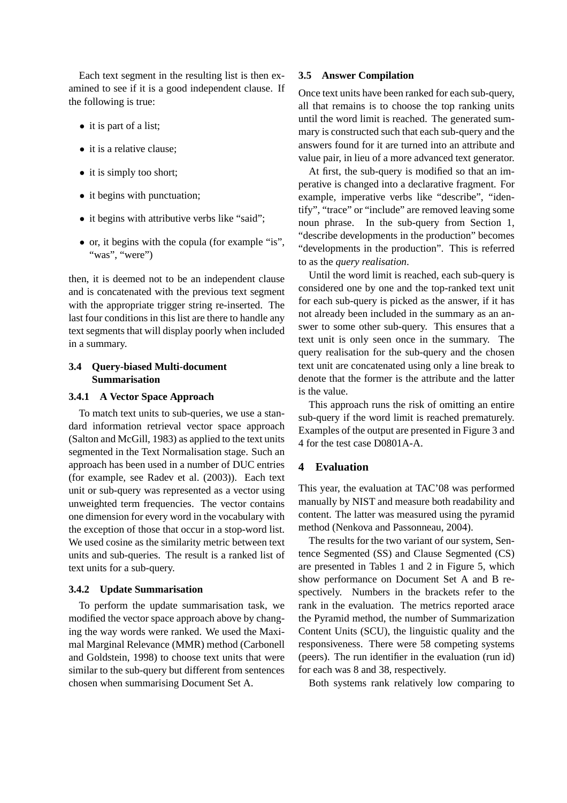Each text segment in the resulting list is then examined to see if it is a good independent clause. If the following is true:

- it is part of a list;
- it is a relative clause;
- it is simply too short;
- it begins with punctuation;
- it begins with attributive verbs like "said";
- or, it begins with the copula (for example "is", "was", "were")

then, it is deemed not to be an independent clause and is concatenated with the previous text segment with the appropriate trigger string re-inserted. The last four conditions in this list are there to handle any text segments that will display poorly when included in a summary.

## **3.4 Query-biased Multi-document Summarisation**

## **3.4.1 A Vector Space Approach**

To match text units to sub-queries, we use a standard information retrieval vector space approach (Salton and McGill, 1983) as applied to the text units segmented in the Text Normalisation stage. Such an approach has been used in a number of DUC entries (for example, see Radev et al. (2003)). Each text unit or sub-query was represented as a vector using unweighted term frequencies. The vector contains one dimension for every word in the vocabulary with the exception of those that occur in a stop-word list. We used cosine as the similarity metric between text units and sub-queries. The result is a ranked list of text units for a sub-query.

### **3.4.2 Update Summarisation**

To perform the update summarisation task, we modified the vector space approach above by changing the way words were ranked. We used the Maximal Marginal Relevance (MMR) method (Carbonell and Goldstein, 1998) to choose text units that were similar to the sub-query but different from sentences chosen when summarising Document Set A.

#### **3.5 Answer Compilation**

Once text units have been ranked for each sub-query, all that remains is to choose the top ranking units until the word limit is reached. The generated summary is constructed such that each sub-query and the answers found for it are turned into an attribute and value pair, in lieu of a more advanced text generator.

At first, the sub-query is modified so that an imperative is changed into a declarative fragment. For example, imperative verbs like "describe", "identify", "trace" or "include" are removed leaving some noun phrase. In the sub-query from Section 1, "describe developments in the production" becomes "developments in the production". This is referred to as the *query realisation*.

Until the word limit is reached, each sub-query is considered one by one and the top-ranked text unit for each sub-query is picked as the answer, if it has not already been included in the summary as an answer to some other sub-query. This ensures that a text unit is only seen once in the summary. The query realisation for the sub-query and the chosen text unit are concatenated using only a line break to denote that the former is the attribute and the latter is the value.

This approach runs the risk of omitting an entire sub-query if the word limit is reached prematurely. Examples of the output are presented in Figure 3 and 4 for the test case D0801A-A.

## **4 Evaluation**

This year, the evaluation at TAC'08 was performed manually by NIST and measure both readability and content. The latter was measured using the pyramid method (Nenkova and Passonneau, 2004).

The results for the two variant of our system, Sentence Segmented (SS) and Clause Segmented (CS) are presented in Tables 1 and 2 in Figure 5, which show performance on Document Set A and B respectively. Numbers in the brackets refer to the rank in the evaluation. The metrics reported arace the Pyramid method, the number of Summarization Content Units (SCU), the linguistic quality and the responsiveness. There were 58 competing systems (peers). The run identifier in the evaluation (run id) for each was 8 and 38, respectively.

Both systems rank relatively low comparing to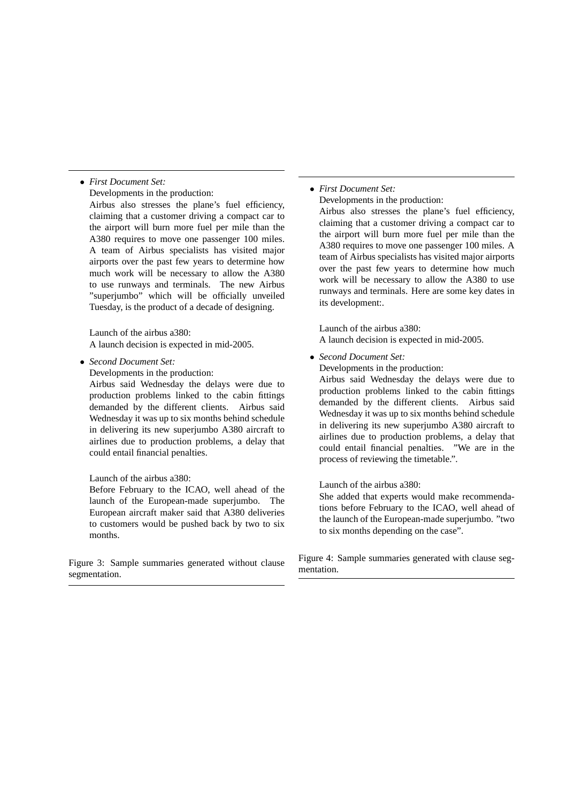### • *First Document Set:*

Developments in the production:

Airbus also stresses the plane's fuel efficiency, claiming that a customer driving a compact car to the airport will burn more fuel per mile than the A380 requires to move one passenger 100 miles. A team of Airbus specialists has visited major airports over the past few years to determine how much work will be necessary to allow the A380 to use runways and terminals. The new Airbus "superjumbo" which will be officially unveiled Tuesday, is the product of a decade of designing.

Launch of the airbus a380: A launch decision is expected in mid-2005.

• *Second Document Set:*

Developments in the production:

Airbus said Wednesday the delays were due to production problems linked to the cabin fittings demanded by the different clients. Airbus said Wednesday it was up to six months behind schedule in delivering its new superjumbo A380 aircraft to airlines due to production problems, a delay that could entail financial penalties.

#### Launch of the airbus a380:

Before February to the ICAO, well ahead of the launch of the European-made superjumbo. The European aircraft maker said that A380 deliveries to customers would be pushed back by two to six months.

Figure 3: Sample summaries generated without clause segmentation.

### • *First Document Set:*

Developments in the production:

Airbus also stresses the plane's fuel efficiency, claiming that a customer driving a compact car to the airport will burn more fuel per mile than the A380 requires to move one passenger 100 miles. A team of Airbus specialists has visited major airports over the past few years to determine how much work will be necessary to allow the A380 to use runways and terminals. Here are some key dates in its development:.

Launch of the airbus a380: A launch decision is expected in mid-2005.

#### • *Second Document Set:*

Developments in the production:

Airbus said Wednesday the delays were due to production problems linked to the cabin fittings demanded by the different clients. Airbus said Wednesday it was up to six months behind schedule in delivering its new superjumbo A380 aircraft to airlines due to production problems, a delay that could entail financial penalties. "We are in the process of reviewing the timetable.".

### Launch of the airbus a380:

She added that experts would make recommendations before February to the ICAO, well ahead of the launch of the European-made superjumbo. "two to six months depending on the case".

Figure 4: Sample summaries generated with clause segmentation.